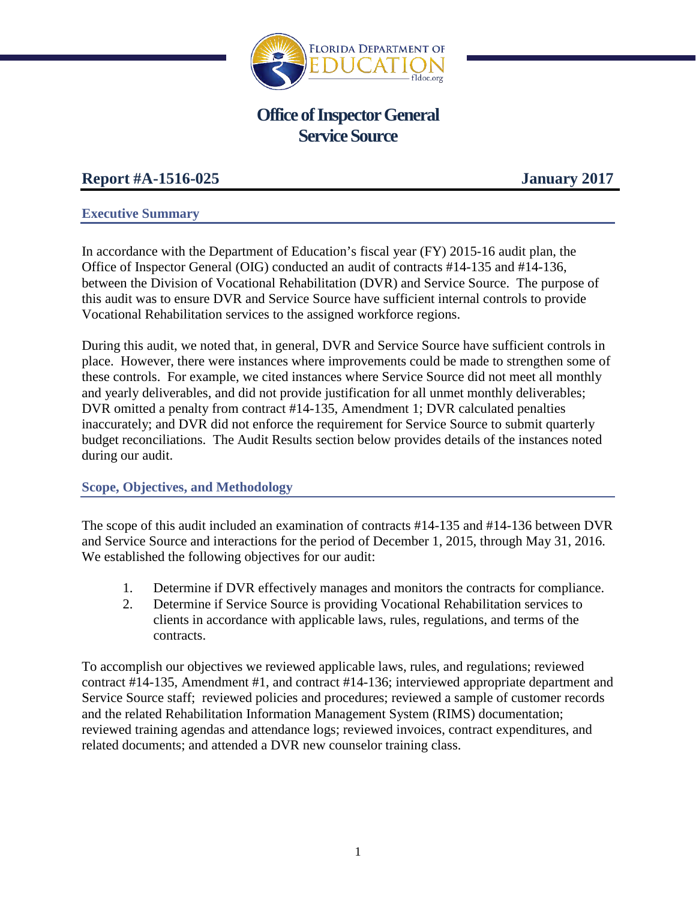

# **Office of Inspector General Service Source**

## **Report #A-1516-025 January 2017**

## **Executive Summary**

In accordance with the Department of Education's fiscal year (FY) 2015-16 audit plan, the Office of Inspector General (OIG) conducted an audit of contracts #14-135 and #14-136, between the Division of Vocational Rehabilitation (DVR) and Service Source. The purpose of this audit was to ensure DVR and Service Source have sufficient internal controls to provide Vocational Rehabilitation services to the assigned workforce regions.

During this audit, we noted that, in general, DVR and Service Source have sufficient controls in place. However, there were instances where improvements could be made to strengthen some of these controls. For example, we cited instances where Service Source did not meet all monthly and yearly deliverables, and did not provide justification for all unmet monthly deliverables; DVR omitted a penalty from contract #14-135, Amendment 1; DVR calculated penalties inaccurately; and DVR did not enforce the requirement for Service Source to submit quarterly budget reconciliations. The Audit Results section below provides details of the instances noted during our audit.

## **Scope, Objectives, and Methodology**

The scope of this audit included an examination of contracts #14-135 and #14-136 between DVR and Service Source and interactions for the period of December 1, 2015, through May 31, 2016. We established the following objectives for our audit:

- 1. Determine if DVR effectively manages and monitors the contracts for compliance.
- 2. Determine if Service Source is providing Vocational Rehabilitation services to clients in accordance with applicable laws, rules, regulations, and terms of the contracts.

To accomplish our objectives we reviewed applicable laws, rules, and regulations; reviewed contract #14-135, Amendment #1, and contract #14-136; interviewed appropriate department and Service Source staff; reviewed policies and procedures; reviewed a sample of customer records and the related Rehabilitation Information Management System (RIMS) documentation; reviewed training agendas and attendance logs; reviewed invoices, contract expenditures, and related documents; and attended a DVR new counselor training class.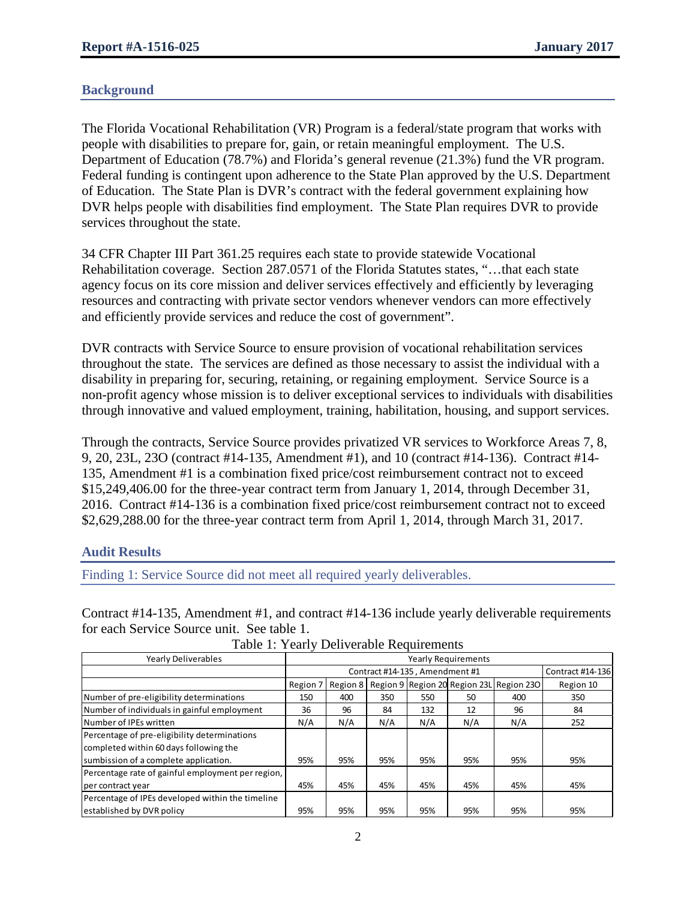## **Background**

The Florida Vocational Rehabilitation (VR) Program is a federal/state program that works with people with disabilities to prepare for, gain, or retain meaningful employment. The U.S. Department of Education (78.7%) and Florida's general revenue (21.3%) fund the VR program. Federal funding is contingent upon adherence to the State Plan approved by the U.S. Department of Education. The State Plan is DVR's contract with the federal government explaining how DVR helps people with disabilities find employment. The State Plan requires DVR to provide services throughout the state.

34 CFR Chapter III Part 361.25 requires each state to provide statewide Vocational Rehabilitation coverage. Section 287.0571 of the Florida Statutes states, "…that each state agency focus on its core mission and deliver services effectively and efficiently by leveraging resources and contracting with private sector vendors whenever vendors can more effectively and efficiently provide services and reduce the cost of government".

DVR contracts with Service Source to ensure provision of vocational rehabilitation services throughout the state. The services are defined as those necessary to assist the individual with a disability in preparing for, securing, retaining, or regaining employment. Service Source is a non-profit agency whose mission is to deliver exceptional services to individuals with disabilities through innovative and valued employment, training, habilitation, housing, and support services.

Through the contracts, Service Source provides privatized VR services to Workforce Areas 7, 8, 9, 20, 23L, 23O (contract #14-135, Amendment #1), and 10 (contract #14-136). Contract #14- 135, Amendment #1 is a combination fixed price/cost reimbursement contract not to exceed \$15,249,406.00 for the three-year contract term from January 1, 2014, through December 31, 2016. Contract #14-136 is a combination fixed price/cost reimbursement contract not to exceed \$2,629,288.00 for the three-year contract term from April 1, 2014, through March 31, 2017.

## **Audit Results**

Finding 1: Service Source did not meet all required yearly deliverables.

Contract #14-135, Amendment #1, and contract #14-136 include yearly deliverable requirements for each Service Source unit. See table 1.

| <b>Yearly Deliverables</b>                        | <b>Yearly Requirements</b> |                                                    |     |     |     |                                                           |           |  |  |  |  |  |  |
|---------------------------------------------------|----------------------------|----------------------------------------------------|-----|-----|-----|-----------------------------------------------------------|-----------|--|--|--|--|--|--|
|                                                   |                            | Contract #14-135, Amendment #1<br>Contract #14-136 |     |     |     |                                                           |           |  |  |  |  |  |  |
|                                                   | Region 7                   |                                                    |     |     |     | Region 8   Region 9   Region 20   Region 23L   Region 230 | Region 10 |  |  |  |  |  |  |
| Number of pre-eligibility determinations          | 150                        | 400                                                | 350 | 550 | 50  | 400                                                       | 350       |  |  |  |  |  |  |
| Number of individuals in gainful employment       | 36                         | 96                                                 | 84  | 132 | 12  | 96                                                        | 84        |  |  |  |  |  |  |
| Number of IPEs written                            | N/A                        | N/A                                                | N/A | N/A | N/A | N/A                                                       | 252       |  |  |  |  |  |  |
| Percentage of pre-eligibility determinations      |                            |                                                    |     |     |     |                                                           |           |  |  |  |  |  |  |
| completed within 60 days following the            |                            |                                                    |     |     |     |                                                           |           |  |  |  |  |  |  |
| sumbission of a complete application.             | 95%                        | 95%                                                | 95% | 95% | 95% | 95%                                                       | 95%       |  |  |  |  |  |  |
| Percentage rate of gainful employment per region, |                            |                                                    |     |     |     |                                                           |           |  |  |  |  |  |  |
| per contract year                                 | 45%                        | 45%                                                | 45% | 45% | 45% | 45%                                                       | 45%       |  |  |  |  |  |  |
| Percentage of IPEs developed within the timeline  |                            |                                                    |     |     |     |                                                           |           |  |  |  |  |  |  |
| established by DVR policy                         | 95%                        | 95%                                                | 95% | 95% | 95% | 95%                                                       | 95%       |  |  |  |  |  |  |

#### Table 1: Yearly Deliverable Requirements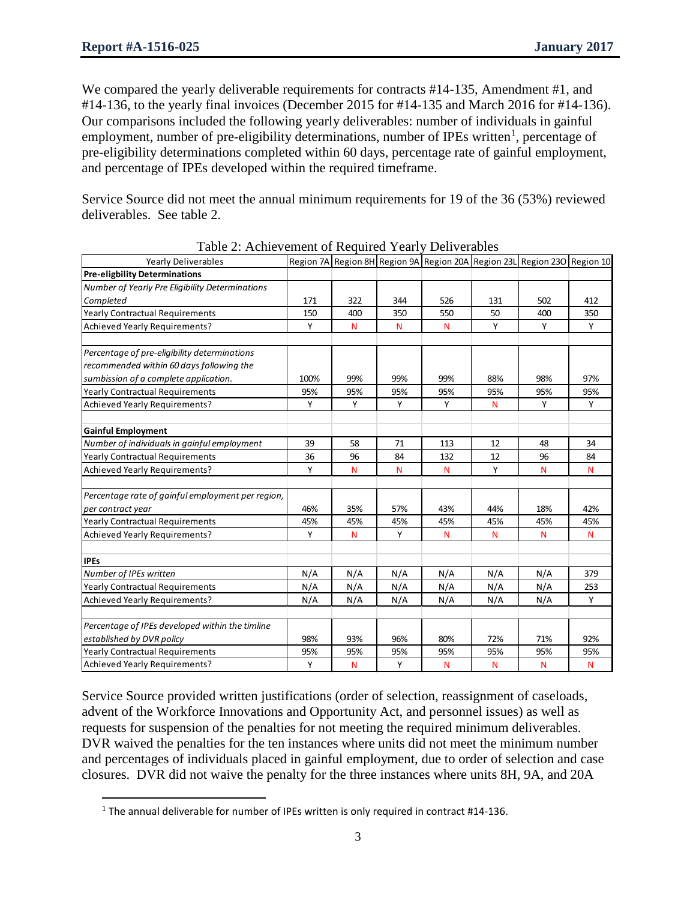l

We compared the yearly deliverable requirements for contracts #14-135, Amendment #1, and #14-136, to the yearly final invoices (December 2015 for #14-135 and March 2016 for #14-136). Our comparisons included the following yearly deliverables: number of individuals in gainful employment, number of pre-eligibility determinations, number of IPEs written<sup>[1](#page-2-0)</sup>, percentage of pre-eligibility determinations completed within 60 days, percentage rate of gainful employment, and percentage of IPEs developed within the required timeframe.

Service Source did not meet the annual minimum requirements for 19 of the 36 (53%) reviewed deliverables. See table 2.

| Yearly Deliverables                                                    |      |     |     |     |     | Region 7A Region 8H Region 9A Region 20A Region 23L Region 23O Region 10 |     |
|------------------------------------------------------------------------|------|-----|-----|-----|-----|--------------------------------------------------------------------------|-----|
| <b>Pre-eligbility Determinations</b>                                   |      |     |     |     |     |                                                                          |     |
| Number of Yearly Pre Eligibility Determinations                        |      |     |     |     |     |                                                                          |     |
| Completed                                                              | 171  | 322 | 344 | 526 | 131 | 502                                                                      | 412 |
| <b>Yearly Contractual Requirements</b>                                 | 150  | 400 | 350 | 550 | 50  | 400                                                                      | 350 |
| Achieved Yearly Requirements?                                          | Y    | N   | N   | N   | Y   | Y                                                                        | Y   |
| Percentage of pre-eligibility determinations                           |      |     |     |     |     |                                                                          |     |
| recommended within 60 days following the                               |      |     |     |     |     |                                                                          |     |
| sumbission of a complete application.                                  | 100% | 99% | 99% | 99% | 88% | 98%                                                                      | 97% |
| <b>Yearly Contractual Requirements</b>                                 | 95%  | 95% | 95% | 95% | 95% | 95%                                                                      | 95% |
| Achieved Yearly Requirements?                                          | Υ    | Y   | Y   | Y   | N   | Υ                                                                        | Υ   |
| <b>Gainful Employment</b>                                              |      |     |     |     |     |                                                                          |     |
| Number of individuals in gainful employment                            | 39   | 58  | 71  | 113 | 12  | 48                                                                       | 34  |
| Yearly Contractual Requirements                                        | 36   | 96  | 84  | 132 | 12  | 96                                                                       | 84  |
| Achieved Yearly Requirements?                                          | Y    | N   | N   | N   | Υ   | N                                                                        | N   |
|                                                                        |      |     |     |     |     |                                                                          |     |
| Percentage rate of gainful employment per region,<br>per contract year | 46%  | 35% | 57% | 43% | 44% | 18%                                                                      | 42% |
| <b>Yearly Contractual Requirements</b>                                 | 45%  | 45% | 45% | 45% | 45% | 45%                                                                      | 45% |
| Achieved Yearly Requirements?                                          | Y    | N   | Y   | N   | N   | N                                                                        | N   |
| <b>IPEs</b>                                                            |      |     |     |     |     |                                                                          |     |
| Number of IPEs written                                                 | N/A  | N/A | N/A | N/A | N/A | N/A                                                                      | 379 |
| <b>Yearly Contractual Requirements</b>                                 | N/A  | N/A | N/A | N/A | N/A | N/A                                                                      | 253 |
| Achieved Yearly Requirements?                                          | N/A  | N/A | N/A | N/A | N/A | N/A                                                                      | Y   |
| Percentage of IPEs developed within the timline                        |      |     |     |     |     |                                                                          |     |
| established by DVR policy                                              | 98%  | 93% | 96% | 80% | 72% | 71%                                                                      | 92% |
| <b>Yearly Contractual Requirements</b>                                 | 95%  | 95% | 95% | 95% | 95% | 95%                                                                      | 95% |
| Achieved Yearly Requirements?                                          | Y    | N   | Y   | N   | N   | N                                                                        | N   |
|                                                                        |      |     |     |     |     |                                                                          |     |

Table 2: Achievement of Required Yearly Deliverables

Service Source provided written justifications (order of selection, reassignment of caseloads, advent of the Workforce Innovations and Opportunity Act, and personnel issues) as well as requests for suspension of the penalties for not meeting the required minimum deliverables. DVR waived the penalties for the ten instances where units did not meet the minimum number and percentages of individuals placed in gainful employment, due to order of selection and case closures. DVR did not waive the penalty for the three instances where units 8H, 9A, and 20A

<span id="page-2-0"></span> $1$  The annual deliverable for number of IPEs written is only required in contract #14-136.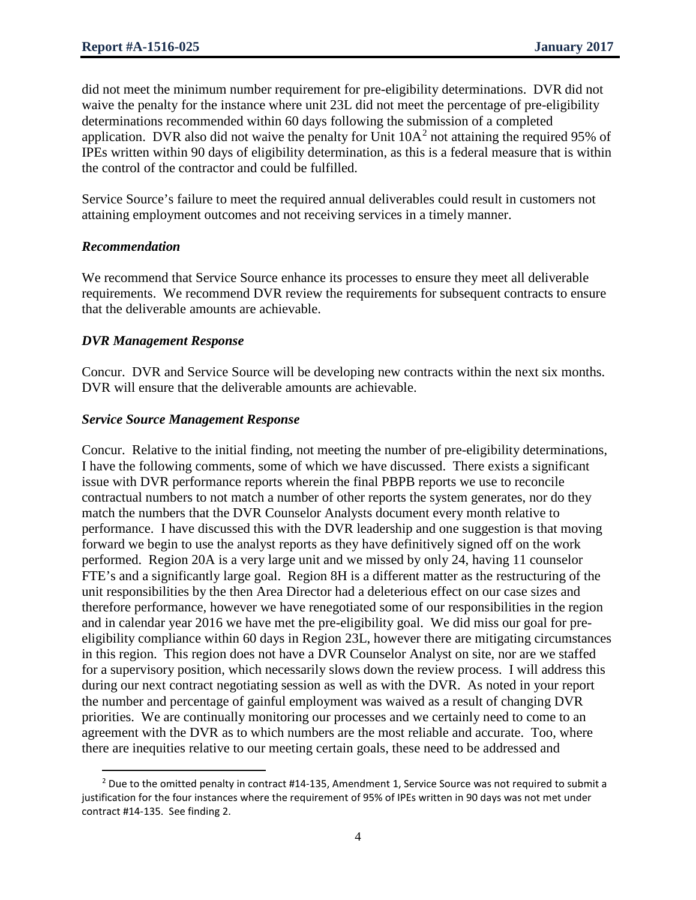did not meet the minimum number requirement for pre-eligibility determinations. DVR did not waive the penalty for the instance where unit 23L did not meet the percentage of pre-eligibility determinations recommended within 60 days following the submission of a completed application. DVR also did not waive the penalty for Unit  $10A<sup>2</sup>$  $10A<sup>2</sup>$  $10A<sup>2</sup>$  not attaining the required 95% of IPEs written within 90 days of eligibility determination, as this is a federal measure that is within the control of the contractor and could be fulfilled.

Service Source's failure to meet the required annual deliverables could result in customers not attaining employment outcomes and not receiving services in a timely manner.

#### *Recommendation*

We recommend that Service Source enhance its processes to ensure they meet all deliverable requirements. We recommend DVR review the requirements for subsequent contracts to ensure that the deliverable amounts are achievable.

#### *DVR Management Response*

Concur. DVR and Service Source will be developing new contracts within the next six months. DVR will ensure that the deliverable amounts are achievable.

#### *Service Source Management Response*

Concur. Relative to the initial finding, not meeting the number of pre-eligibility determinations, I have the following comments, some of which we have discussed. There exists a significant issue with DVR performance reports wherein the final PBPB reports we use to reconcile contractual numbers to not match a number of other reports the system generates, nor do they match the numbers that the DVR Counselor Analysts document every month relative to performance. I have discussed this with the DVR leadership and one suggestion is that moving forward we begin to use the analyst reports as they have definitively signed off on the work performed. Region 20A is a very large unit and we missed by only 24, having 11 counselor FTE's and a significantly large goal. Region 8H is a different matter as the restructuring of the unit responsibilities by the then Area Director had a deleterious effect on our case sizes and therefore performance, however we have renegotiated some of our responsibilities in the region and in calendar year 2016 we have met the pre-eligibility goal. We did miss our goal for preeligibility compliance within 60 days in Region 23L, however there are mitigating circumstances in this region. This region does not have a DVR Counselor Analyst on site, nor are we staffed for a supervisory position, which necessarily slows down the review process. I will address this during our next contract negotiating session as well as with the DVR. As noted in your report the number and percentage of gainful employment was waived as a result of changing DVR priorities. We are continually monitoring our processes and we certainly need to come to an agreement with the DVR as to which numbers are the most reliable and accurate. Too, where there are inequities relative to our meeting certain goals, these need to be addressed and

<span id="page-3-0"></span>l <sup>2</sup> Due to the omitted penalty in contract #14-135, Amendment 1, Service Source was not required to submit a justification for the four instances where the requirement of 95% of IPEs written in 90 days was not met under contract #14-135. See finding 2.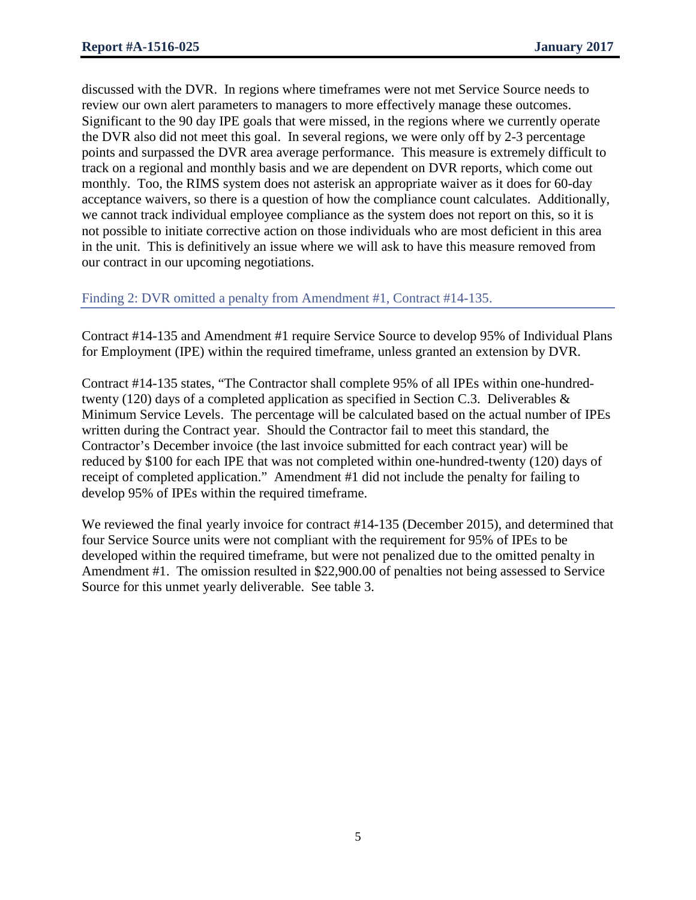discussed with the DVR. In regions where timeframes were not met Service Source needs to review our own alert parameters to managers to more effectively manage these outcomes. Significant to the 90 day IPE goals that were missed, in the regions where we currently operate the DVR also did not meet this goal. In several regions, we were only off by 2-3 percentage points and surpassed the DVR area average performance. This measure is extremely difficult to track on a regional and monthly basis and we are dependent on DVR reports, which come out monthly. Too, the RIMS system does not asterisk an appropriate waiver as it does for 60-day acceptance waivers, so there is a question of how the compliance count calculates. Additionally, we cannot track individual employee compliance as the system does not report on this, so it is not possible to initiate corrective action on those individuals who are most deficient in this area in the unit. This is definitively an issue where we will ask to have this measure removed from our contract in our upcoming negotiations.

#### Finding 2: DVR omitted a penalty from Amendment #1, Contract #14-135.

Contract #14-135 and Amendment #1 require Service Source to develop 95% of Individual Plans for Employment (IPE) within the required timeframe, unless granted an extension by DVR.

Contract #14-135 states, "The Contractor shall complete 95% of all IPEs within one-hundredtwenty (120) days of a completed application as specified in Section C.3. Deliverables & Minimum Service Levels. The percentage will be calculated based on the actual number of IPEs written during the Contract year. Should the Contractor fail to meet this standard, the Contractor's December invoice (the last invoice submitted for each contract year) will be reduced by \$100 for each IPE that was not completed within one-hundred-twenty (120) days of receipt of completed application." Amendment #1 did not include the penalty for failing to develop 95% of IPEs within the required timeframe.

We reviewed the final yearly invoice for contract #14-135 (December 2015), and determined that four Service Source units were not compliant with the requirement for 95% of IPEs to be developed within the required timeframe, but were not penalized due to the omitted penalty in Amendment #1. The omission resulted in \$22,900.00 of penalties not being assessed to Service Source for this unmet yearly deliverable. See table 3.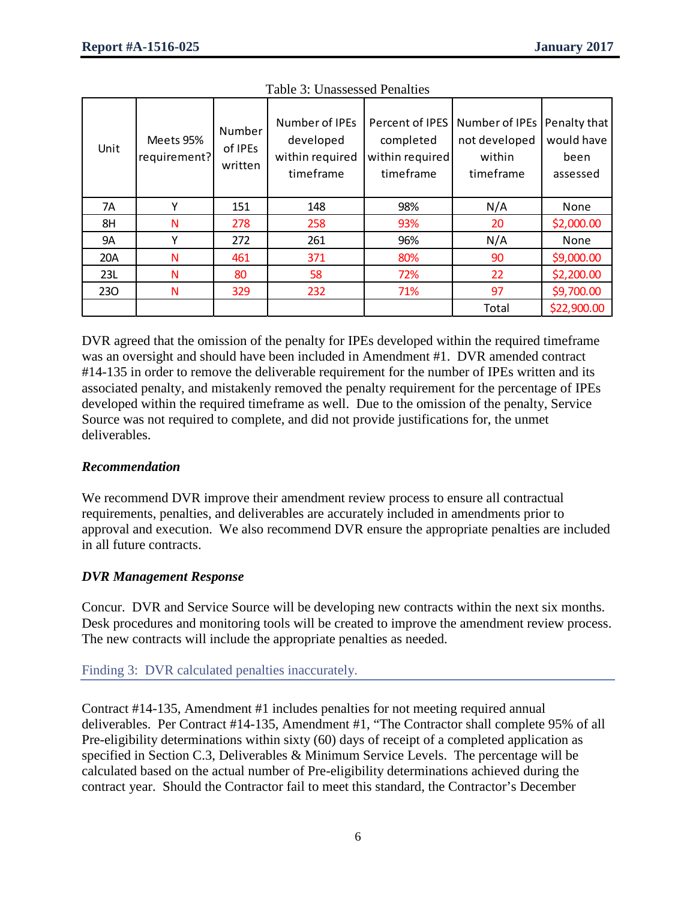| Unit | Meets 95%<br>requirement? | Number<br>of IPEs<br>written | Number of IPEs<br>developed<br>within required<br>timeframe | Percent of IPES<br>completed<br>within required<br>timeframe | Number of IPEs   Penalty that<br>not developed<br>within<br>timeframe | would have<br>been<br>assessed |
|------|---------------------------|------------------------------|-------------------------------------------------------------|--------------------------------------------------------------|-----------------------------------------------------------------------|--------------------------------|
| 7A   | Υ                         | 151                          | 148                                                         | 98%                                                          | N/A                                                                   | None                           |
| 8H   | N                         | 278                          | 258                                                         | 93%                                                          | 20                                                                    | \$2,000.00                     |
| 9A   |                           | 272                          | 261                                                         | 96%                                                          | N/A                                                                   | None                           |
| 20A  | N                         | 461                          | 371                                                         | 80%                                                          | 90                                                                    | \$9,000.00                     |
| 23L  | N                         | 80                           | 58                                                          | 72%                                                          | 22                                                                    | \$2,200.00                     |
| 230  | N                         | 329                          | 232                                                         | 71%                                                          | 97                                                                    | \$9,700.00                     |
|      |                           |                              |                                                             |                                                              | Total                                                                 | \$22,900.00                    |

|  | <b>Table 3: Unassessed Penalties</b> |
|--|--------------------------------------|
|--|--------------------------------------|

DVR agreed that the omission of the penalty for IPEs developed within the required timeframe was an oversight and should have been included in Amendment #1. DVR amended contract #14-135 in order to remove the deliverable requirement for the number of IPEs written and its associated penalty, and mistakenly removed the penalty requirement for the percentage of IPEs developed within the required timeframe as well. Due to the omission of the penalty, Service Source was not required to complete, and did not provide justifications for, the unmet deliverables.

## *Recommendation*

We recommend DVR improve their amendment review process to ensure all contractual requirements, penalties, and deliverables are accurately included in amendments prior to approval and execution. We also recommend DVR ensure the appropriate penalties are included in all future contracts.

## *DVR Management Response*

Concur. DVR and Service Source will be developing new contracts within the next six months. Desk procedures and monitoring tools will be created to improve the amendment review process. The new contracts will include the appropriate penalties as needed.

#### Finding 3: DVR calculated penalties inaccurately.

Contract #14-135, Amendment #1 includes penalties for not meeting required annual deliverables. Per Contract #14-135, Amendment #1, "The Contractor shall complete 95% of all Pre-eligibility determinations within sixty (60) days of receipt of a completed application as specified in Section C.3, Deliverables & Minimum Service Levels. The percentage will be calculated based on the actual number of Pre-eligibility determinations achieved during the contract year. Should the Contractor fail to meet this standard, the Contractor's December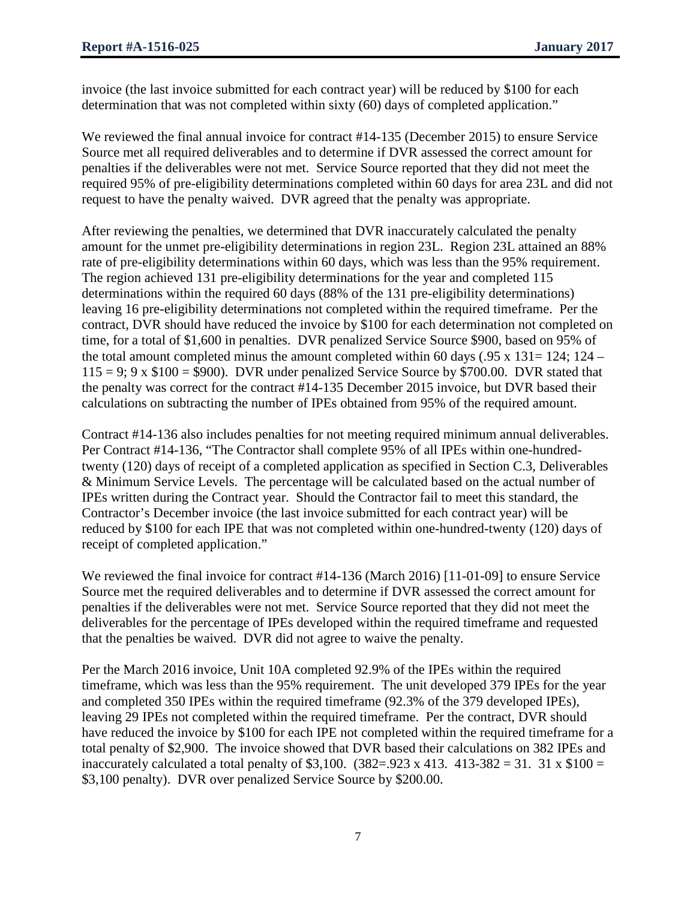invoice (the last invoice submitted for each contract year) will be reduced by \$100 for each determination that was not completed within sixty (60) days of completed application."

We reviewed the final annual invoice for contract #14-135 (December 2015) to ensure Service Source met all required deliverables and to determine if DVR assessed the correct amount for penalties if the deliverables were not met. Service Source reported that they did not meet the required 95% of pre-eligibility determinations completed within 60 days for area 23L and did not request to have the penalty waived. DVR agreed that the penalty was appropriate.

After reviewing the penalties, we determined that DVR inaccurately calculated the penalty amount for the unmet pre-eligibility determinations in region 23L. Region 23L attained an 88% rate of pre-eligibility determinations within 60 days, which was less than the 95% requirement. The region achieved 131 pre-eligibility determinations for the year and completed 115 determinations within the required 60 days (88% of the 131 pre-eligibility determinations) leaving 16 pre-eligibility determinations not completed within the required timeframe. Per the contract, DVR should have reduced the invoice by \$100 for each determination not completed on time, for a total of \$1,600 in penalties. DVR penalized Service Source \$900, based on 95% of the total amount completed minus the amount completed within 60 days (.95 x 131= 124; 124 –  $115 = 9$ ; 9 x \$100 = \$900). DVR under penalized Service Source by \$700.00. DVR stated that the penalty was correct for the contract #14-135 December 2015 invoice, but DVR based their calculations on subtracting the number of IPEs obtained from 95% of the required amount.

Contract #14-136 also includes penalties for not meeting required minimum annual deliverables. Per Contract #14-136, "The Contractor shall complete 95% of all IPEs within one-hundredtwenty (120) days of receipt of a completed application as specified in Section C.3, Deliverables & Minimum Service Levels. The percentage will be calculated based on the actual number of IPEs written during the Contract year. Should the Contractor fail to meet this standard, the Contractor's December invoice (the last invoice submitted for each contract year) will be reduced by \$100 for each IPE that was not completed within one-hundred-twenty (120) days of receipt of completed application."

We reviewed the final invoice for contract #14-136 (March 2016) [11-01-09] to ensure Service Source met the required deliverables and to determine if DVR assessed the correct amount for penalties if the deliverables were not met. Service Source reported that they did not meet the deliverables for the percentage of IPEs developed within the required timeframe and requested that the penalties be waived. DVR did not agree to waive the penalty.

Per the March 2016 invoice, Unit 10A completed 92.9% of the IPEs within the required timeframe, which was less than the 95% requirement. The unit developed 379 IPEs for the year and completed 350 IPEs within the required timeframe (92.3% of the 379 developed IPEs), leaving 29 IPEs not completed within the required timeframe. Per the contract, DVR should have reduced the invoice by \$100 for each IPE not completed within the required timeframe for a total penalty of \$2,900. The invoice showed that DVR based their calculations on 382 IPEs and inaccurately calculated a total penalty of \$3,100.  $(382 = .923 \times 413. 413 - 382 = 31. 31 \times $100 =$ \$3,100 penalty). DVR over penalized Service Source by \$200.00.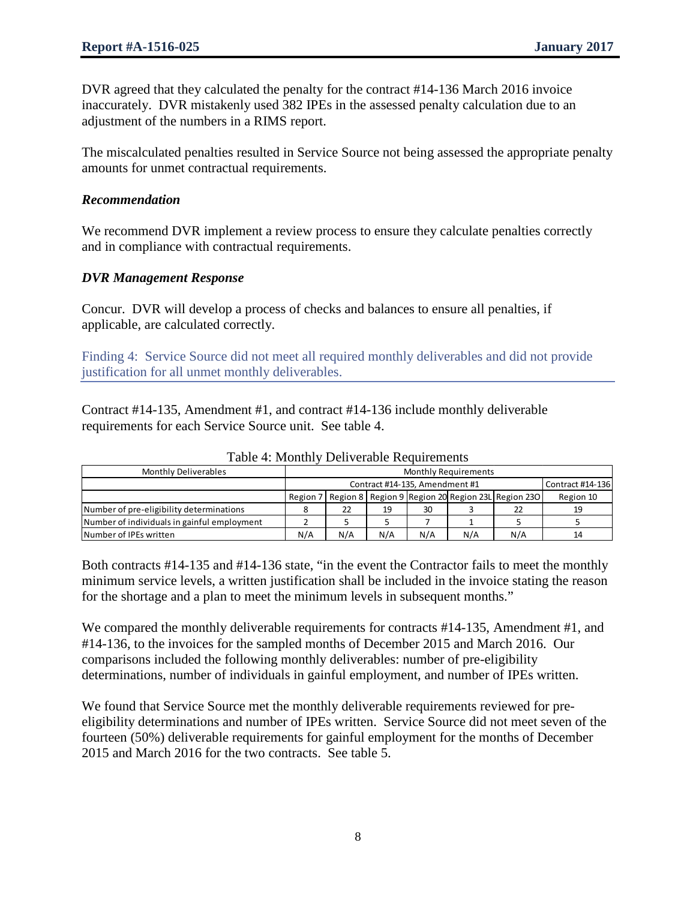DVR agreed that they calculated the penalty for the contract #14-136 March 2016 invoice inaccurately. DVR mistakenly used 382 IPEs in the assessed penalty calculation due to an adjustment of the numbers in a RIMS report.

The miscalculated penalties resulted in Service Source not being assessed the appropriate penalty amounts for unmet contractual requirements.

#### *Recommendation*

We recommend DVR implement a review process to ensure they calculate penalties correctly and in compliance with contractual requirements.

## *DVR Management Response*

Concur. DVR will develop a process of checks and balances to ensure all penalties, if applicable, are calculated correctly.

Finding 4: Service Source did not meet all required monthly deliverables and did not provide justification for all unmet monthly deliverables.

Contract #14-135, Amendment #1, and contract #14-136 include monthly deliverable requirements for each Service Source unit. See table 4.

| <b>Monthly Deliverables</b>                 |     |                                                    |     |     |     |                                                                     |           |  |  |  |  |  |
|---------------------------------------------|-----|----------------------------------------------------|-----|-----|-----|---------------------------------------------------------------------|-----------|--|--|--|--|--|
|                                             |     | Contract #14-135, Amendment #1<br>Contract #14-136 |     |     |     |                                                                     |           |  |  |  |  |  |
|                                             |     |                                                    |     |     |     | Region 7   Region 8   Region 9   Region 20  Region 23L   Region 23O | Region 10 |  |  |  |  |  |
| Number of pre-eligibility determinations    |     | 22                                                 | 19  | 30  |     | 22                                                                  | 19        |  |  |  |  |  |
| Number of individuals in gainful employment |     |                                                    |     |     |     |                                                                     |           |  |  |  |  |  |
| Number of IPEs written                      | N/A | N/A                                                | N/A | N/A | N/A | N/A                                                                 | 14        |  |  |  |  |  |

Table 4: Monthly Deliverable Requirements

Both contracts #14-135 and #14-136 state, "in the event the Contractor fails to meet the monthly minimum service levels, a written justification shall be included in the invoice stating the reason for the shortage and a plan to meet the minimum levels in subsequent months."

We compared the monthly deliverable requirements for contracts #14-135, Amendment #1, and #14-136, to the invoices for the sampled months of December 2015 and March 2016. Our comparisons included the following monthly deliverables: number of pre-eligibility determinations, number of individuals in gainful employment, and number of IPEs written.

We found that Service Source met the monthly deliverable requirements reviewed for preeligibility determinations and number of IPEs written. Service Source did not meet seven of the fourteen (50%) deliverable requirements for gainful employment for the months of December 2015 and March 2016 for the two contracts. See table 5.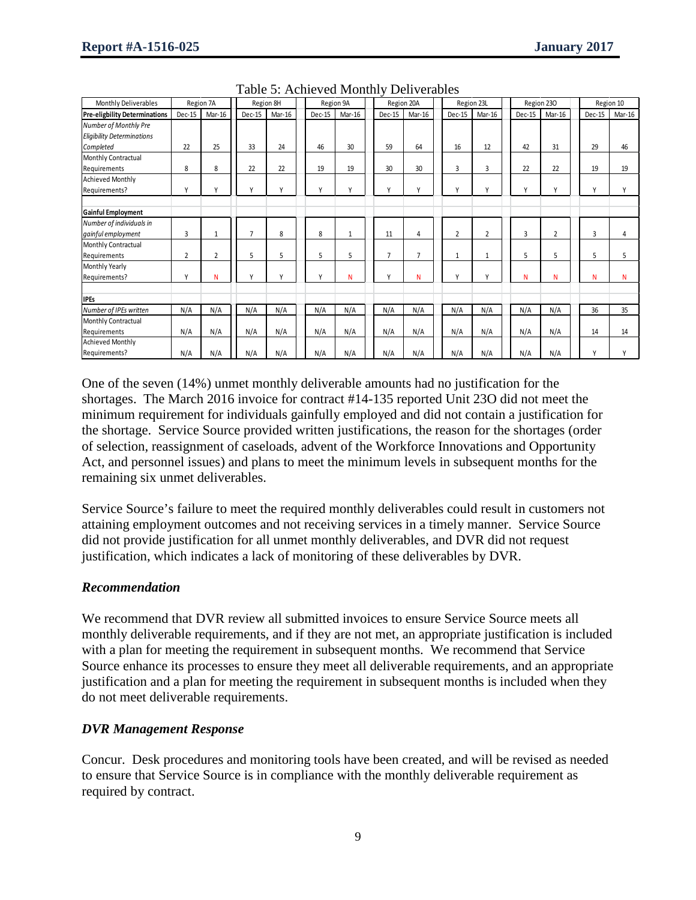| Monthly Deliverables                 | Region 7A |              | Region 8H      |              |        | Region 9A |  |                | Region 20A     |        | Region 23L |  |              | Region 230     |  |                | Region 10 |
|--------------------------------------|-----------|--------------|----------------|--------------|--------|-----------|--|----------------|----------------|--------|------------|--|--------------|----------------|--|----------------|-----------|
| <b>Pre-eligbility Determinations</b> | Dec-15    | Mar-16       | Dec-15         | Mar-16       | Dec-15 | Mar-16    |  | Dec-15         | Mar-16         | Dec-15 | Mar-16     |  | Dec-15       | Mar-16         |  | Dec-15         | Mar-16    |
| Number of Monthly Pre                |           |              |                |              |        |           |  |                |                |        |            |  |              |                |  |                |           |
| <b>Eligibility Determinations</b>    |           |              |                |              |        |           |  |                |                |        |            |  |              |                |  |                |           |
| Completed                            | 22        | 25           | 33             | 24           | 46     | 30        |  | 59             | 64             | 16     | 12         |  | 42           | 31             |  | 29             | 46        |
| Monthly Contractual                  |           |              |                |              |        |           |  |                |                |        |            |  |              |                |  |                |           |
| Requirements                         | 8         | 8            | 22             | 22           | 19     | 19        |  | 30             | 30             | 3      | 3          |  | 22           | 22             |  | 19             | 19        |
| <b>Achieved Monthly</b>              |           |              |                |              |        |           |  |                |                |        |            |  |              |                |  |                |           |
| Requirements?                        | γ         | Υ            | γ              | $\mathsf{v}$ | ٧      | Y         |  | $\mathsf{v}$   | Y              | Υ      | Υ          |  | $\mathsf{v}$ | $\mathsf{v}$   |  | Y              | γ         |
| Gainful Employment                   |           |              |                |              |        |           |  |                |                |        |            |  |              |                |  |                |           |
| Number of individuals in             |           |              |                |              |        |           |  |                |                |        |            |  |              |                |  |                |           |
| gainful employment                   | 3         | $\mathbf{1}$ | $\overline{7}$ | 8            | 8      | 1         |  | 11             | 4              | 2      | 2          |  | 3            | $\overline{2}$ |  | $\overline{3}$ | 4         |
| Monthly Contractual                  |           |              |                |              |        |           |  |                |                |        |            |  |              |                |  |                |           |
| Requirements                         | 2         | 2            | 5              | 5            | 5      | 5         |  | $\overline{7}$ | $\overline{7}$ | 1      | 1          |  | 5            | 5              |  | 5              | 5         |
| Monthly Yearly                       |           |              |                |              |        |           |  |                |                |        |            |  |              |                |  |                |           |
| Requirements?                        | γ         | N            | V              | $\mathsf{v}$ | ٧      | N         |  | $\mathsf{v}$   | N              | Y      | Υ          |  | N            | N              |  | N              | N         |
| <b>IPEs</b>                          |           |              |                |              |        |           |  |                |                |        |            |  |              |                |  |                |           |
| Number of IPEs written               | N/A       | N/A          | N/A            | N/A          | N/A    | N/A       |  | N/A            | N/A            | N/A    | N/A        |  | N/A          | N/A            |  | 36             | 35        |
| Monthly Contractual                  |           |              |                |              |        |           |  |                |                |        |            |  |              |                |  |                |           |
| Requirements                         | N/A       | N/A          | N/A            | N/A          | N/A    | N/A       |  | N/A            | N/A            | N/A    | N/A        |  | N/A          | N/A            |  | 14             | 14        |
| <b>Achieved Monthly</b>              |           |              |                |              |        |           |  |                |                |        |            |  |              |                |  |                |           |
| Requirements?                        | N/A       | N/A          | N/A            | N/A          | N/A    | N/A       |  | N/A            | N/A            | N/A    | N/A        |  | N/A          | N/A            |  | Y              | Y         |

Table 5: Achieved Monthly Deliverables

One of the seven (14%) unmet monthly deliverable amounts had no justification for the shortages. The March 2016 invoice for contract #14-135 reported Unit 23O did not meet the minimum requirement for individuals gainfully employed and did not contain a justification for the shortage. Service Source provided written justifications, the reason for the shortages (order of selection, reassignment of caseloads, advent of the Workforce Innovations and Opportunity Act, and personnel issues) and plans to meet the minimum levels in subsequent months for the remaining six unmet deliverables.

Service Source's failure to meet the required monthly deliverables could result in customers not attaining employment outcomes and not receiving services in a timely manner. Service Source did not provide justification for all unmet monthly deliverables, and DVR did not request justification, which indicates a lack of monitoring of these deliverables by DVR.

## *Recommendation*

We recommend that DVR review all submitted invoices to ensure Service Source meets all monthly deliverable requirements, and if they are not met, an appropriate justification is included with a plan for meeting the requirement in subsequent months. We recommend that Service Source enhance its processes to ensure they meet all deliverable requirements, and an appropriate justification and a plan for meeting the requirement in subsequent months is included when they do not meet deliverable requirements.

## *DVR Management Response*

Concur. Desk procedures and monitoring tools have been created, and will be revised as needed to ensure that Service Source is in compliance with the monthly deliverable requirement as required by contract.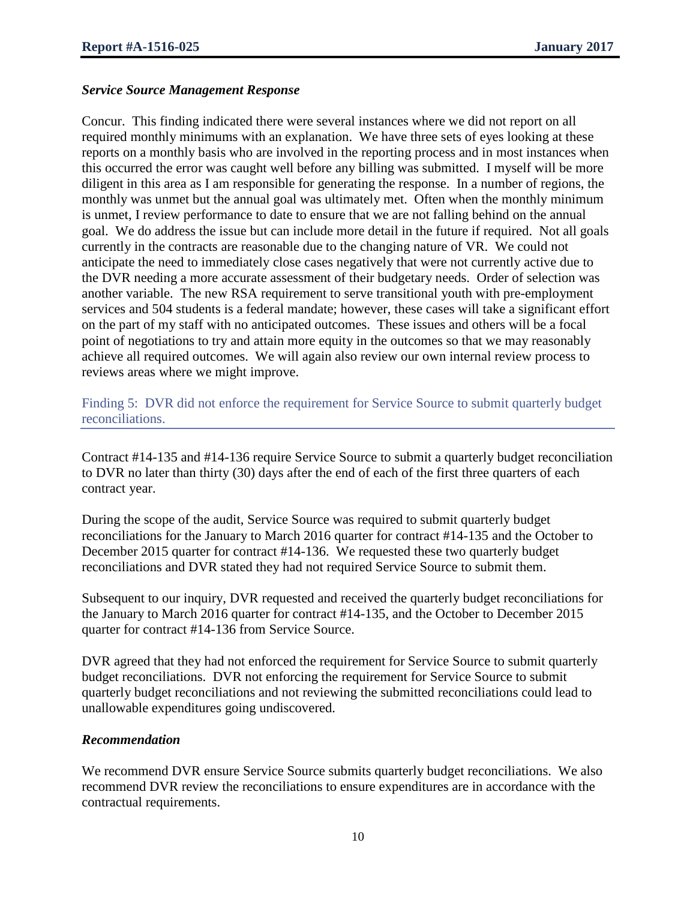#### *Service Source Management Response*

Concur. This finding indicated there were several instances where we did not report on all required monthly minimums with an explanation. We have three sets of eyes looking at these reports on a monthly basis who are involved in the reporting process and in most instances when this occurred the error was caught well before any billing was submitted. I myself will be more diligent in this area as I am responsible for generating the response. In a number of regions, the monthly was unmet but the annual goal was ultimately met. Often when the monthly minimum is unmet, I review performance to date to ensure that we are not falling behind on the annual goal. We do address the issue but can include more detail in the future if required. Not all goals currently in the contracts are reasonable due to the changing nature of VR. We could not anticipate the need to immediately close cases negatively that were not currently active due to the DVR needing a more accurate assessment of their budgetary needs. Order of selection was another variable. The new RSA requirement to serve transitional youth with pre-employment services and 504 students is a federal mandate; however, these cases will take a significant effort on the part of my staff with no anticipated outcomes. These issues and others will be a focal point of negotiations to try and attain more equity in the outcomes so that we may reasonably achieve all required outcomes. We will again also review our own internal review process to reviews areas where we might improve.

Finding 5: DVR did not enforce the requirement for Service Source to submit quarterly budget reconciliations.

Contract #14-135 and #14-136 require Service Source to submit a quarterly budget reconciliation to DVR no later than thirty (30) days after the end of each of the first three quarters of each contract year.

During the scope of the audit, Service Source was required to submit quarterly budget reconciliations for the January to March 2016 quarter for contract #14-135 and the October to December 2015 quarter for contract #14-136. We requested these two quarterly budget reconciliations and DVR stated they had not required Service Source to submit them.

Subsequent to our inquiry, DVR requested and received the quarterly budget reconciliations for the January to March 2016 quarter for contract #14-135, and the October to December 2015 quarter for contract #14-136 from Service Source.

DVR agreed that they had not enforced the requirement for Service Source to submit quarterly budget reconciliations. DVR not enforcing the requirement for Service Source to submit quarterly budget reconciliations and not reviewing the submitted reconciliations could lead to unallowable expenditures going undiscovered.

#### *Recommendation*

We recommend DVR ensure Service Source submits quarterly budget reconciliations. We also recommend DVR review the reconciliations to ensure expenditures are in accordance with the contractual requirements.